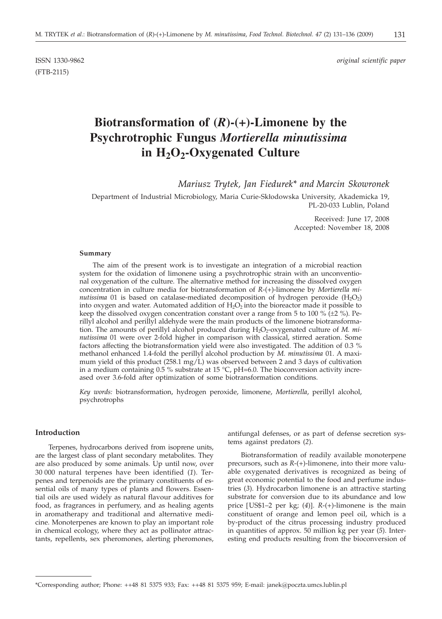(FTB-2115)

ISSN 1330-9862 *original scientific paper*

# **Biotransformation of (***R***)-(+)-Limonene by the Psychrotrophic Fungus** *Mortierella minutissima* **in H2O2-Oxygenated Culture**

*Mariusz Trytek, Jan Fiedurek\* and Marcin Skowronek*

Department of Industrial Microbiology, Maria Curie-Skłodowska University, Akademicka 19, PL-20-033 Lublin, Poland

> Received: June 17, 2008 Accepted: November 18, 2008

## **Summary**

The aim of the present work is to investigate an integration of a microbial reaction system for the oxidation of limonene using a psychrotrophic strain with an unconventional oxygenation of the culture. The alternative method for increasing the dissolved oxygen concentration in culture media for biotransformation of *R*-(+)-limonene by *Mortierella minutissima* 01 is based on catalase-mediated decomposition of hydrogen peroxide (H<sub>2</sub>O<sub>2</sub>) into oxygen and water. Automated addition of  $H_2O_2$  into the bioreactor made it possible to keep the dissolved oxygen concentration constant over a range from 5 to 100 % ( $\pm$ 2 %). Perillyl alcohol and perillyl aldehyde were the main products of the limonene biotransformation. The amounts of perillyl alcohol produced during H<sub>2</sub>O<sub>2</sub>-oxygenated culture of *M. minutissima* 01 were over 2-fold higher in comparison with classical, stirred aeration. Some factors affecting the biotransformation yield were also investigated. The addition of 0.3 % methanol enhanced 1.4-fold the perillyl alcohol production by *M. minutissima* 01. A maximum yield of this product  $(258.1 \text{ mg/L})$  was observed between 2 and 3 days of cultivation in a medium containing 0.5 % substrate at 15 °C, pH=6.0. The bioconversion activity increased over 3.6-fold after optimization of some biotransformation conditions.

*Key words:* biotransformation, hydrogen peroxide, limonene, *Mortierella*, perillyl alcohol, psychrotrophs

#### **Introduction**

Terpenes, hydrocarbons derived from isoprene units, are the largest class of plant secondary metabolites. They are also produced by some animals. Up until now, over 30 000 natural terpenes have been identified (*1*). Terpenes and terpenoids are the primary constituents of essential oils of many types of plants and flowers. Essential oils are used widely as natural flavour additives for food, as fragrances in perfumery, and as healing agents in aromatherapy and traditional and alternative medicine. Monoterpenes are known to play an important role in chemical ecology, where they act as pollinator attractants, repellents, sex pheromones, alerting pheromones, antifungal defenses, or as part of defense secretion systems against predators (*2*).

Biotransformation of readily available monoterpene precursors, such as *R*-(+)-limonene, into their more valuable oxygenated derivatives is recognized as being of great economic potential to the food and perfume industries (*3*). Hydrocarbon limonene is an attractive starting substrate for conversion due to its abundance and low price [US\$1–2 per kg; (*4*)]. *<sup>R</sup>*-(+)-limonene is the main constituent of orange and lemon peel oil, which is a by-product of the citrus processing industry produced in quantities of approx. 50 million kg per year (*5*). Interesting end products resulting from the bioconversion of

<sup>\*</sup>Corresponding author; Phone: ++48 81 5375 933; Fax: ++48 81 5375 959; E-mail: janek@poczta.umcs.lublin.pl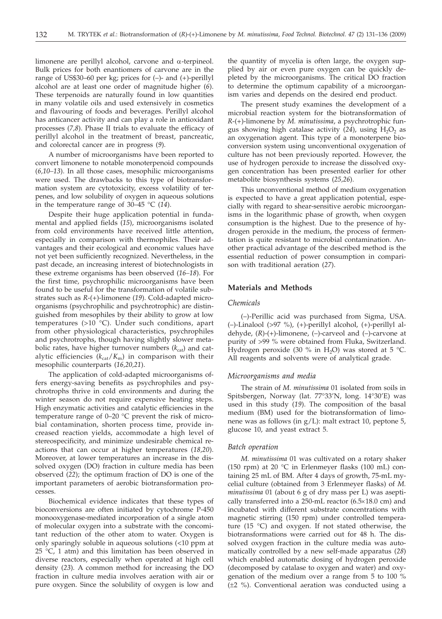limonene are perillyl alcohol, carvone and  $\alpha$ -terpineol. Bulk prices for both enantiomers of carvone are in the range of US\$30–60 per kg; prices for (–)- and (+)-perillyl alcohol are at least one order of magnitude higher (*6*). These terpenoids are naturally found in low quantities in many volatile oils and used extensively in cosmetics and flavouring of foods and beverages. Perillyl alcohol has anticancer activity and can play a role in antioxidant processes (*7,8*). Phase II trials to evaluate the efficacy of perillyl alcohol in the treatment of breast, pancreatic, and colorectal cancer are in progress (*9*).

A number of microorganisms have been reported to convert limonene to notable monoterpenoid compounds (*6,10–13*). In all those cases, mesophilic microorganisms were used. The drawbacks to this type of biotransformation system are cytotoxicity, excess volatility of terpenes, and low solubility of oxygen in aqueous solutions in the temperature range of 30–45 °C (*14*).

Despite their huge application potential in fundamental and applied fields (*15*), microorganisms isolated from cold environments have received little attention, especially in comparison with thermophiles. Their advantages and their ecological and economic values have not yet been sufficiently recognized. Nevertheless, in the past decade, an increasing interest of biotechnologists in these extreme organisms has been observed (*16–18*). For the first time, psychrophilic microorganisms have been found to be useful for the transformation of volatile substrates such as *R*-(+)-limonene (*19*). Cold-adapted microorganisms (psychrophilic and psychrotrophic) are distinguished from mesophiles by their ability to grow at low temperatures (>10 °C). Under such conditions, apart from other physiological characteristics, psychrophiles and psychrotrophs, though having slightly slower metabolic rates, have higher turnover numbers  $(k_{cat})$  and catalytic efficiencies  $(k_{cat}/K_m)$  in comparison with their mesophilic counterparts (*16,20,21*).

The application of cold-adapted microorganisms offers energy-saving benefits as psychrophiles and psychrotrophs thrive in cold environments and during the winter season do not require expensive heating steps. High enzymatic activities and catalytic efficiencies in the temperature range of 0–20 °C prevent the risk of microbial contamination, shorten process time, provide increased reaction yields, accommodate a high level of stereospecificity, and minimize undesirable chemical reactions that can occur at higher temperatures (*18,20*). Moreover, at lower temperatures an increase in the dissolved oxygen (DO) fraction in culture media has been observed (*22*); the optimum fraction of DO is one of the important parameters of aerobic biotransformation processes.

Biochemical evidence indicates that these types of bioconversions are often initiated by cytochrome P-450 monooxygenase-mediated incorporation of a single atom of molecular oxygen into a substrate with the concomitant reduction of the other atom to water. Oxygen is only sparingly soluble in aqueous solutions (<10 ppm at 25  $°C$ , 1 atm) and this limitation has been observed in diverse reactors, especially when operated at high cell density (*23*). A common method for increasing the DO fraction in culture media involves aeration with air or pure oxygen. Since the solubility of oxygen is low and the quantity of mycelia is often large, the oxygen supplied by air or even pure oxygen can be quickly depleted by the microorganisms. The critical DO fraction to determine the optimum capability of a microorganism varies and depends on the desired end product.

The present study examines the development of a microbial reaction system for the biotransformation of *R*-(+)-limonene by *M. minutissima*, a psychrotrophic fungus showing high catalase activity  $(24)$ , using  $H_2O_2$  as an oxygenation agent. This type of a monoterpene bioconversion system using unconventional oxygenation of culture has not been previously reported. However, the use of hydrogen peroxide to increase the dissolved oxygen concentration has been presented earlier for other metabolite biosynthesis systems (*25,26*).

This unconventional method of medium oxygenation is expected to have a great application potential, especially with regard to shear-sensitive aerobic microorganisms in the logarithmic phase of growth, when oxygen consumption is the highest. Due to the presence of hydrogen peroxide in the medium, the process of fermentation is quite resistant to microbial contamination. Another practical advantage of the described method is the essential reduction of power consumption in comparison with traditional aeration (*27*).

## **Materials and Methods**

# *Chemicals*

(–)-Perillic acid was purchased from Sigma, USA. (–)-Linalool (>97 %), (+)-perillyl alcohol, (+)-perillyl aldehyde, (*R*)-(+)-limonene, (–)-carveol and (–)-carvone at purity of >99 % were obtained from Fluka, Switzerland. Hydrogen peroxide (30 % in H<sub>2</sub>O) was stored at 5 °C. All reagents and solvents were of analytical grade.

# *Microorganisms and media*

The strain of *M. minutissima* 01 isolated from soils in Spitsbergen, Norway (lat. 77°33'N, long. 14°30'E) was used in this study (*19*). The composition of the basal medium (BM) used for the biotransformation of limonene was as follows (in g/L): malt extract 10, peptone 5, glucose 10, and yeast extract 5.

#### *Batch operation*

*M. minutissima* 01 was cultivated on a rotary shaker (150 rpm) at 20  $°C$  in Erlenmeyer flasks (100 mL) containing 25 mL of BM. After 4 days of growth, 75-mL mycelial culture (obtained from 3 Erlenmeyer flasks) of *M. minutissima* 01 (about 6 g of dry mass per L) was aseptically transferred into a  $250$ -mL reactor  $(6.5 \times 18.0 \text{ cm})$  and incubated with different substrate concentrations with magnetic stirring (150 rpm) under controlled temperature (15 °C) and oxygen. If not stated otherwise, the biotransformations were carried out for 48 h. The dissolved oxygen fraction in the culture media was automatically controlled by a new self-made apparatus (*28*) which enabled automatic dosing of hydrogen peroxide (decomposed by catalase to oxygen and water) and oxygenation of the medium over a range from 5 to 100 % (±2 %). Conventional aeration was conducted using a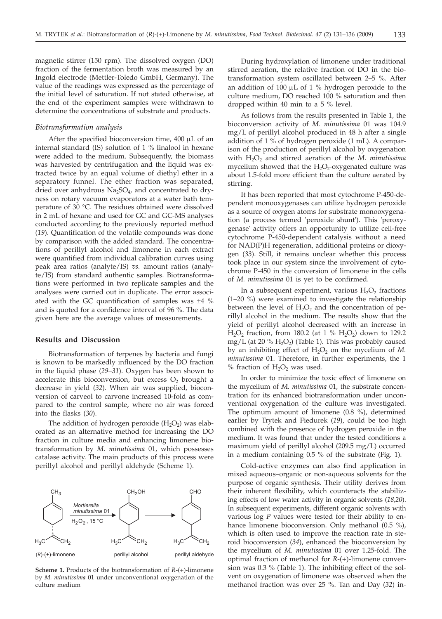magnetic stirrer (150 rpm). The dissolved oxygen (DO) fraction of the fermentation broth was measured by an Ingold electrode (Mettler-Toledo GmbH, Germany). The value of the readings was expressed as the percentage of the initial level of saturation. If not stated otherwise, at the end of the experiment samples were withdrawn to determine the concentrations of substrate and products.

## *Biotransformation analysis*

After the specified bioconversion time,  $400 \mu L$  of an internal standard (IS) solution of 1 % linalool in hexane were added to the medium. Subsequently, the biomass was harvested by centrifugation and the liquid was extracted twice by an equal volume of diethyl ether in a separatory funnel. The ether fraction was separated, dried over anhydrous  $Na<sub>2</sub>SO<sub>4</sub>$ , and concentrated to dryness on rotary vacuum evaporators at a water bath temperature of 30 °C. The residues obtained were dissolved in 2 mL of hexane and used for GC and GC-MS analyses conducted according to the previously reported method (*19*). Quantification of the volatile compounds was done by comparison with the added standard. The concentrations of perillyl alcohol and limonene in each extract were quantified from individual calibration curves using peak area ratios (analyte/IS) *vs.* amount ratios (analyte/IS) from standard authentic samples. Biotransformations were performed in two replicate samples and the analyses were carried out in duplicate. The error associated with the GC quantification of samples was ±4 % and is quoted for a confidence interval of 96 %. The data given here are the average values of measurements.

#### **Results and Discussion**

Biotransformation of terpenes by bacteria and fungi is known to be markedly influenced by the DO fraction in the liquid phase (*29–31*). Oxygen has been shown to accelerate this bioconversion, but excess  $O_2$  brought a decrease in yield (*32*). When air was supplied, bioconversion of carveol to carvone increased 10-fold as compared to the control sample, where no air was forced into the flasks (*30*).

The addition of hydrogen peroxide  $(H_2O_2)$  was elaborated as an alternative method for increasing the DO fraction in culture media and enhancing limonene biotransformation by *M. minutissima* 01, which possesses catalase activity. The main products of this process were perillyl alcohol and perillyl aldehyde (Scheme 1).



**Scheme 1.** Products of the biotransformation of *R*-(+)-limonene by *M. minutissima* 01 under unconventional oxygenation of the culture medium

During hydroxylation of limonene under traditional stirred aeration, the relative fraction of DO in the biotransformation system oscillated between 2–5 %. After an addition of  $100 \mu L$  of  $1 \%$  hydrogen peroxide to the culture medium, DO reached 100 % saturation and then dropped within 40 min to a 5 % level.

As follows from the results presented in Table 1, the bioconversion activity of *M. minutissima* 01 was 104.9 mg/L of perillyl alcohol produced in 48 h after a single addition of 1 % of hydrogen peroxide (1 mL). A comparison of the production of perillyl alcohol by oxygenation with  $H_2O_2$  and stirred aeration of the *M. minutissima* mycelium showed that the  $H_2O_2$ -oxygenated culture was about 1.5-fold more efficient than the culture aerated by stirring.

It has been reported that most cytochrome P-450-dependent monooxygenases can utilize hydrogen peroxide as a source of oxygen atoms for substrate monooxygenation (a process termed 'peroxide shunt'). This 'peroxygenase' activity offers an opportunity to utilize cell-free cytochrome P-450-dependent catalysis without a need for NAD(P)H regeneration, additional proteins or dioxygen (*33*). Still, it remains unclear whether this process took place in our system since the involvement of cytochrome P-450 in the conversion of limonene in the cells of *M. minutissima* 01 is yet to be confirmed.

In a subsequent experiment, various  $H_2O_2$  fractions (1–20 %) were examined to investigate the relationship between the level of  $H_2O_2$  and the concentration of perillyl alcohol in the medium. The results show that the yield of perillyl alcohol decreased with an increase in  $H<sub>2</sub>O<sub>2</sub>$  fraction, from 180.2 (at 1 %  $H<sub>2</sub>O<sub>2</sub>$ ) down to 129.2 mg/L (at 20 %  $H_2O_2$ ) (Table 1). This was probably caused by an inhibiting effect of  $H_2O_2$  on the mycelium of  $M$ . *minutissima* 01. Therefore, in further experiments, the 1 % fraction of  $H_2O_2$  was used.

In order to minimize the toxic effect of limonene on the mycelium of *M. minutissima* 01, the substrate concentration for its enhanced biotransformation under unconventional oxygenation of the culture was investigated. The optimum amount of limonene (0.8 %), determined earlier by Trytek and Fiedurek (*19*), could be too high combined with the presence of hydrogen peroxide in the medium. It was found that under the tested conditions a maximum yield of perillyl alcohol (209.5 mg/L) occurred in a medium containing 0.5 % of the substrate (Fig. 1).

Cold-active enzymes can also find application in mixed aqueous–organic or non-aqueous solvents for the purpose of organic synthesis. Their utility derives from their inherent flexibility, which counteracts the stabilizing effects of low water activity in organic solvents (*18,20*). In subsequent experiments, different organic solvents with various log *P* values were tested for their ability to enhance limonene bioconversion. Only methanol (0.5 %), which is often used to improve the reaction rate in steroid bioconversion (*34*), enhanced the bioconversion by the mycelium of *M. minutissima* 01 over 1.25-fold. The optimal fraction of methanol for *R*-(+)-limonene conversion was 0.3 % (Table 1). The inhibiting effect of the solvent on oxygenation of limonene was observed when the methanol fraction was over 25 %. Tan and Day (*32*) in-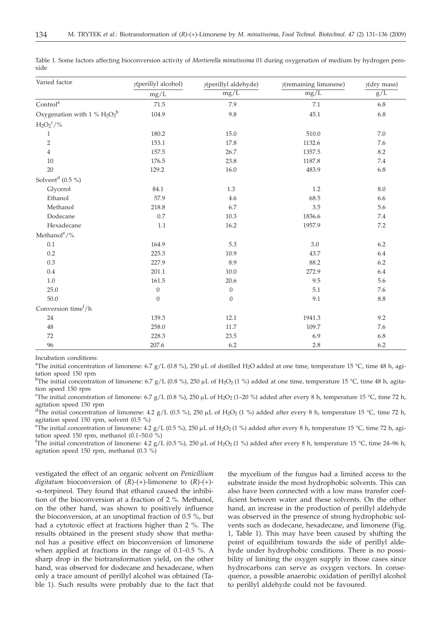| Varied factor                   | y(perillyl alcohol) | y(perillyl aldehyde) | $\gamma$ (remaining limonene) | $y$ (dry mass) |  |
|---------------------------------|---------------------|----------------------|-------------------------------|----------------|--|
|                                 | mg/L                | mg/L                 | mg/L                          | $\rm g/L$      |  |
| $\mbox{Control}^{\mbox{a}}$     | $71.5\,$            | 7.9                  | 7.1                           | 6.8            |  |
| Oxygenation with 1 % $H_2O_2^b$ | 104.9               | 9.8                  | 45.1                          | 6.8            |  |
| $\mathrm{H_2O_2}^c/\%$          |                     |                      |                               |                |  |
| $\mathbf{1}$                    | 180.2               | 15.0                 | 510.0                         | 7.0            |  |
| $\overline{2}$                  | 153.1               | 17.8                 | 1132.6                        | 7.6            |  |
| $\overline{4}$                  | 157.5               | 26.7                 | 1357.5                        | 8.2            |  |
| 10                              | 176.5               | 23.8                 | 1187.8                        | $7.4\,$        |  |
| 20                              | 129.2               | 16.0                 | 483.9                         | 6.8            |  |
| Solvent <sup>d</sup> $(0.5\%)$  |                     |                      |                               |                |  |
| Glycerol                        | 84.1                | 1.3                  | 1.2                           | $8.0\,$        |  |
| Ethanol                         | 57.9                | 4.6                  | 68.5                          | 6.6            |  |
| Methanol                        | 218.8               | 6.7                  | 3.5                           | 5.6            |  |
| Dodecane                        | 0.7                 | 10.3                 | 1836.6                        | $7.4\,$        |  |
| Hexadecane                      | 1.1                 | 16.2                 | 1957.9                        | $7.2\,$        |  |
| Methanol <sup>e</sup> /%        |                     |                      |                               |                |  |
| $0.1\,$                         | 164.9               | 5.3                  | $3.0\,$                       | $6.2\,$        |  |
| 0.2                             | 225.3               | 10.9                 | 43.7                          | 6.4            |  |
| $0.3\,$                         | 227.9               | 8.9                  | 88.2                          | $6.2\,$        |  |
| 0.4                             | 201.1               | $10.0\,$             | 272.9                         | 6.4            |  |
| $1.0\,$                         | 161.5               | 20.6                 | 9.5                           | 5.6            |  |
| 25.0                            | $\boldsymbol{0}$    | $\theta$             | 5.1                           | 7.6            |  |
| $50.0\,$                        | $\mathbf{0}$        | $\mathbf{0}$         | 9.1                           | $8.8\,$        |  |
| Conversion time <sup>f</sup> /h |                     |                      |                               |                |  |
| 24                              | 139.3               | 12.1                 | 1941.3                        | 9.2            |  |
| 48                              | 258.0               | 11.7                 | 109.7                         | 7.6            |  |
| 72                              | 228.3               | 23.5                 | 6.9                           | 6.8            |  |
| 96                              | 207.6               | 6.2                  | 2.8                           | 6.2            |  |

Table 1. Some factors affecting bioconversion activity of *Mortierella minutissima* 01 during oxygenation of medium by hydrogen peroxide

Incubation conditions:

<sup>a</sup>The initial concentration of limonene: 6.7 g/L (0.8 %), 250 µL of distilled H<sub>2</sub>O added at one time, temperature 15 °C, time 48 h, agi-<br>tation speed 150 rpm tation speed 150 rpm

<sup>b</sup>The initial concentration of limonene: 6.7 g/L (0.8 %), 250 µL of H<sub>2</sub>O<sub>2</sub> (1 %) added at one time, temperature 15 °C, time 48 h, agitation speed 150 rpm tion speed 150 rpm

<sup>c</sup>The initial concentration of limonene: 6.7 g/L (0.8 %), 250 µL of H<sub>2</sub>O<sub>2</sub> (1–20 %) added after every 8 h, temperature 15 °C, time 72 h, agitation speed 150 rpm agitation speed 150 rpm

<sup>d</sup>The initial concentration of limonene: 4.2 g/L (0.5 %), 250 µL of H<sub>2</sub>O<sub>2</sub> (1 %) added after every 8 h, temperature 15 °C, time 72 h, agitation speed 150 rpm, solvent (0.5 %) agitation speed 150 rpm, solvent (0.5 %)

<sup>e</sup>The initial concentration of limonene: 4.2 g/L (0.5 %), 250 µL of H<sub>2</sub>O<sub>2</sub> (1 %) added after every 8 h, temperature 15 °C, time 72 h, agi-<br>tation speed 150 rpm, methanol (0.1–50.0 %) tation speed 150 rpm, methanol (0.1–50.0 %)

<sup>f</sup>The initial concentration of limonene: 4.2 g/L (0.5 %), 250 µL of H<sub>2</sub>O<sub>2</sub> (1 %) added after every 8 h, temperature 15 °C, time 24–96 h, agitation speed 150 rpm, methanol (0.3 %) agitation speed 150 rpm, methanol (0.3 %)

vestigated the effect of an organic solvent on *Penicillium digitatum* bioconversion of (*R*)-(+)-limonene to (*R*)-(+)-  $-\alpha$ -terpineol. They found that ethanol caused the inhibition of the bioconversion at a fraction of 2 %. Methanol, on the other hand, was shown to positively influence the bioconversion, at an unoptimal fraction of 0.5 %, but had a cytotoxic effect at fractions higher than 2 %. The results obtained in the present study show that methanol has a positive effect on bioconversion of limonene when applied at fractions in the range of 0.1–0.5 %. A sharp drop in the biotransformation yield, on the other hand, was observed for dodecane and hexadecane, when only a trace amount of perillyl alcohol was obtained (Table 1). Such results were probably due to the fact that

the mycelium of the fungus had a limited access to the substrate inside the most hydrophobic solvents. This can also have been connected with a low mass transfer coefficient between water and these solvents. On the other hand, an increase in the production of perillyl aldehyde was observed in the presence of strong hydrophobic solvents such as dodecane, hexadecane, and limonene (Fig. 1, Table 1). This may have been caused by shifting the point of equilibrium towards the side of perillyl aldehyde under hydrophobic conditions. There is no possibility of limiting the oxygen supply in those cases since hydrocarbons can serve as oxygen vectors. In consequence, a possible anaerobic oxidation of perillyl alcohol to perillyl aldehyde could not be favoured.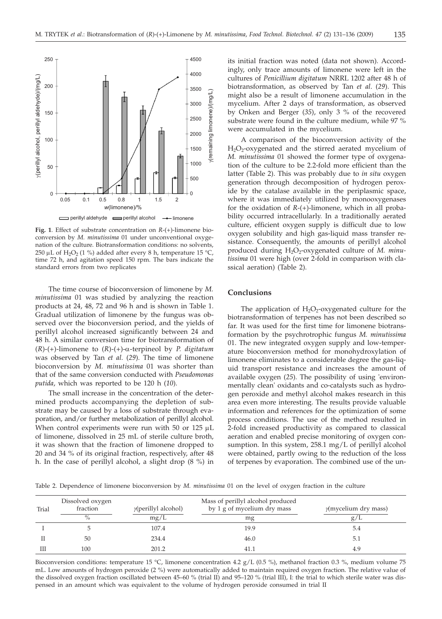

**Fig. 1**. Effect of substrate concentration on *R*-(+)-limonene bioconversion by *M. minutissima* 01 under unconventional oxygenation of the culture. Biotransformation conditions: no solvents, 250 µL of H<sub>2</sub>O<sub>2</sub> (1 %) added after every 8 h, temperature 15 °C, time 72 h, and agitation speed 150 rpm. The bars indicate the standard errors from two replicates

The time course of bioconversion of limonene by *M. minutissima* 01 was studied by analyzing the reaction products at 24, 48, 72 and 96 h and is shown in Table 1. Gradual utilization of limonene by the fungus was observed over the bioconversion period, and the yields of perillyl alcohol increased significantly between 24 and 48 h. A similar conversion time for biotransformation of (*R*)-(+)-limonene to (*R*)-(+)-a-terpineol by *P. digitatum* was observed by Tan *et al*. (*29*). The time of limonene bioconversion by *M. minutissima* 01 was shorter than that of the same conversion conducted with *Pseudomonas putida*, which was reported to be 120 h (*10*).

The small increase in the concentration of the determined products accompanying the depletion of substrate may be caused by a loss of substrate through evaporation, and/or further metabolization of perillyl alcohol. When control experiments were run with 50 or 125  $\mu$ L of limonene, dissolved in 25 mL of sterile culture broth, it was shown that the fraction of limonene dropped to 20 and 34 % of its original fraction, respectively, after 48 h. In the case of perillyl alcohol, a slight drop (8 %) in

its initial fraction was noted (data not shown). Accordingly, only trace amounts of limonene were left in the cultures of *Penicillium digitatum* NRRL 1202 after 48 h of biotransformation, as observed by Tan *et al*. (*29*). This might also be a result of limonene accumulation in the mycelium. After 2 days of transformation, as observed by Onken and Berger (*35*), only 3 % of the recovered substrate were found in the culture medium, while 97 % were accumulated in the mycelium.

A comparison of the bioconversion activity of the H<sub>2</sub>O<sub>2</sub>-oxygenated and the stirred aerated mycelium of *M. minutissima* 01 showed the former type of oxygenation of the culture to be 2.2-fold more efficient than the latter (Table 2). This was probably due to *in situ* oxygen generation through decomposition of hydrogen peroxide by the catalase available in the periplasmic space, where it was immediately utilized by monooxygenases for the oxidation of *R*-(+)-limonene, which in all probability occurred intracellularly. In a traditionally aerated culture, efficient oxygen supply is difficult due to low oxygen solubility and high gas-liquid mass transfer resistance. Consequently, the amounts of perillyl alcohol produced during H<sub>2</sub>O<sub>2</sub>-oxygenated culture of *M. minutissima* 01 were high (over 2-fold in comparison with classical aeration) (Table 2).

# **Conclusions**

The application of  $H_2O_2$ -oxygenated culture for the biotransformation of terpenes has not been described so far. It was used for the first time for limonene biotransformation by the psychrotrophic fungus *M. minutissima* 01. The new integrated oxygen supply and low-temperature bioconversion method for monohydroxylation of limonene eliminates to a considerable degree the gas-liquid transport resistance and increases the amount of available oxygen (*25*). The possibility of using 'environmentally clean' oxidants and co-catalysts such as hydrogen peroxide and methyl alcohol makes research in this area even more interesting. The results provide valuable information and references for the optimization of some process conditions. The use of the method resulted in 2-fold increased productivity as compared to classical aeration and enabled precise monitoring of oxygen consumption. In this system, 258.1 mg/L of perillyl alcohol were obtained, partly owing to the reduction of the loss of terpenes by evaporation. The combined use of the un-

Table 2. Dependence of limonene bioconversion by *M. minutissima* 01 on the level of oxygen fraction in the culture

|       | Dissolved oxygen |                             |                                                                  |                              |
|-------|------------------|-----------------------------|------------------------------------------------------------------|------------------------------|
| Trial | fraction         | $\gamma$ (perillyl alcohol) | Mass of perillyl alcohol produced<br>by 1 g of mycelium dry mass | $\gamma$ (mycelium dry mass) |
|       | $\%$             | mg/L                        | mg                                                               | g/L                          |
|       |                  | 107.4                       | 19.9                                                             | 5.4                          |
|       | 50               | 234.4                       | 46.0                                                             | 5.1                          |
| Ш     | 100              | 201.2                       |                                                                  | 4.9                          |

Bioconversion conditions: temperature 15 °C, limonene concentration 4.2 g/L (0.5 %), methanol fraction 0.3 %, medium volume 75 mL. Low amounts of hydrogen peroxide (2 %) were automatically added to maintain required oxygen fraction. The relative value of the dissolved oxygen fraction oscillated between 45–60 % (trial II) and 95–120 % (trial III), I: the trial to which sterile water was dispensed in an amount which was equivalent to the volume of hydrogen peroxide consumed in trial II